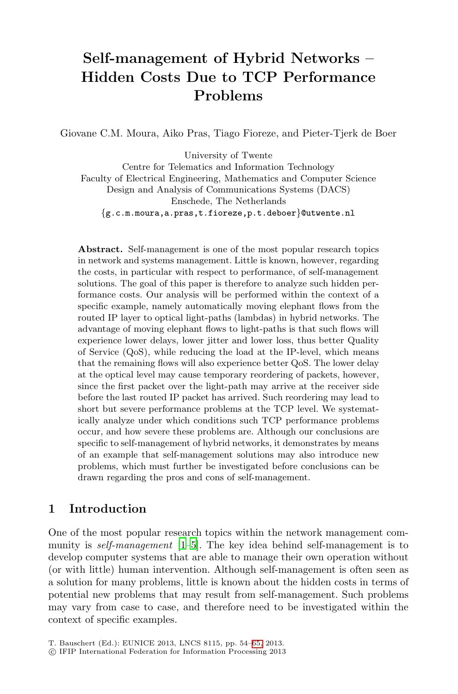# **Self-management of Hybrid Networks – Hidden Costs Due to TCP Performance Problems**

Giovane C.M. Moura, Aiko Pras, Tiago Fioreze, and Pieter-Tjerk de Boer

University of Twente Centre for Telematics and Information Technology Faculty of Electrical Engineering, Mathematics and Computer Science Design and Analysis of Communications Systems (DACS) Enschede, The Netherlands *{*g.c.m.moura,a.pras,t.fioreze,p.t.deboer*}*@utwente.nl

**Abstract.** Self-management is one of the most popular research topics in network and systems management. Little is known, however, regarding the costs, in particular with respect to performance, of self-management solutions. The goal of this paper is therefore to analyze such hidden performance costs. Our analysis will be performed within the context of a specific example, namely automatically moving elephant flows from the routed IP layer to optical light-paths (lambdas) in hybrid networks. The advantage of moving elephant flows to light-paths is that such flows will experience lower delays, lower jitter and lower loss, thus better Quality of Service (QoS), while reducing the load at the IP-level, which means that the remaining flows will also experience better QoS. The lower delay at the optical level may cause temporary reordering of packets, however, since the first packet over the light-path may arrive at the receiver side before the last routed IP packet has arrived. Such reordering may lead to short but severe performance problems at the TCP level. We systematically analyze under which conditions such TCP performance problems occur, and how severe these problems are. Although our conclusions are spec[ific](#page-10-0) [to](#page-10-1) self-management of hybrid networks, it demonstrates by means of an example that self-management solutions may also introduce new problems, which must further be investigated before conclusions can be drawn regarding the pros and cons of self-management.

## **1 Introduction**

One of the most popular research topics within the network management community is *self-management* [\[1](#page-11-0)–5]. The key idea behind self-management is to develop computer systems that are able to manage their own operation without (or with little) human intervention. Although self-management is often seen as a solution for many problems, little is known about the hidden costs in terms of potential new problems that may result from self-management. Such problems may vary from case to case, and therefore need to be investigated within the context of specific examples.

T. Bauschert (Ed.): EUNICE 2013, LNCS 8115, pp. 54–65, 2013.

<sup>-</sup>c IFIP International Federation for Information Processing 2013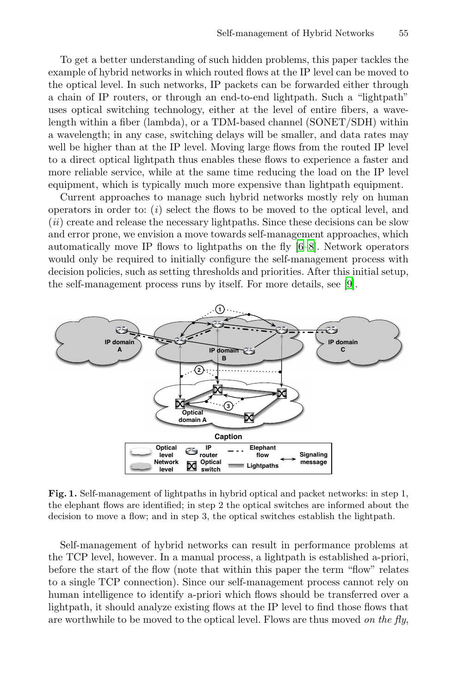To get a better understanding of such hidden problems, this paper tackles the example of hybrid networks in which routed flows at the IP level can be moved to the optical level. In such networks, IP packets can be forwarded either through a chain of IP routers, or through an end-to-end lightpath. Such a "lightpath" uses optical switching technology, either at the level of entire fibers, a wavelength within a fiber (lambda), or a TDM-based channel (SONET/SDH) within a wavelength; in any case, switching delays will be smaller, and data rates may well be higher than at the IP level. [Mo](#page-10-2)[vi](#page-10-3)ng large flows from the routed IP level to a direct optical lightpath thus enables these flows to experience a faster and more reliable service, while at the same time reducing the load on the IP level equipment, which is typically much more expen[si](#page-11-1)ve than lightpath equipment.

Current approaches to manage such hybrid networks mostly rely on human operators in order to: (*i*) select the flows to be moved to the optical level, and (*ii*) create and release the necessary lightpaths. Since these decisions can be slow and error prone, we envision a move towards self-management approaches, which automatically move IP flows to lightpaths on the fly [6–8]. Network operators would only be required to initially configure the self-management process with decision policies, such as setting thresholds and priorities. After this initial setup, the self-management process runs by itself. For more details, see [9].



**Fig. 1.** Self-management of lightpaths in hybrid optical and packet networks: in step 1, the elephant flows are identified; in step 2 the optical switches are informed about the decision to move a flow; and in step 3, the optical switches establish the lightpath.

Self-management of hybrid networks can result in performance problems at the TCP level, however. In a manual process, a lightpath is established a-priori, before the start of the flow (note that within this paper the term "flow" relates to a single TCP connection). Since our self-management process cannot rely on human intelligence to identify a-priori which flows should be transferred over a lightpath, it should analyze existing flows at the IP level to find those flows that are worthwhile to be moved to the optical level. Flows are thus moved *on the fly*,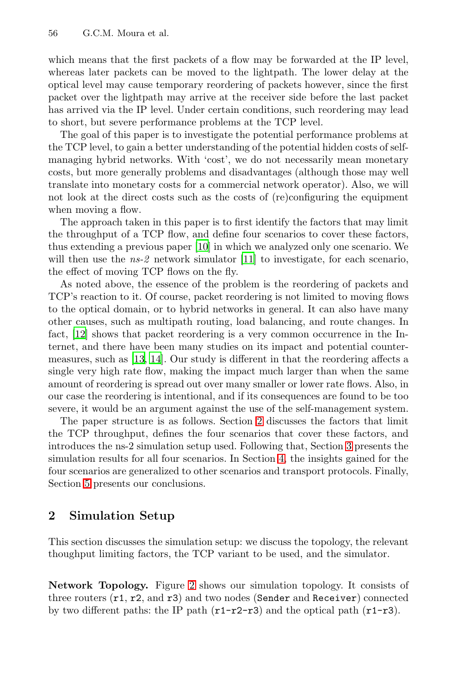#### 56 G.C.M. Moura et al.

which means that the first packets of a flow may be forwarded at the IP level, whereas later packets can be moved to the lightpath. The lower delay at the optical level may cause temporary reordering of packets however, since the first packet over the lightpath may arrive at the receiver side before the last packet has arrived via the IP level. Under certain conditions, such reordering may lead to short, but severe performance problems at the TCP level.

The goal of this paper is to investigate the potential performance problems at the TCP level, [to g](#page-11-2)ain a better understanding of the potential hidden costs of selfmanaging hybrid networ[ks.](#page-11-3) With 'cost', we do not necessarily mean monetary costs, but more generally problems and disadvantages (although those may well translate into monetary costs for a commercial network operator). Also, we will not look at the direct costs such as the costs of (re)configuring the equipment when moving a flow.

The approach taken in this paper is to first identify the factors that may limit the throughput of a TCP flow, and define four scenarios to cover these factors, thus extending a previous paper [10] in which we analyzed only one scenario. We [will](#page-11-4) [the](#page-11-5)n use the *ns-2* network simulator [11] to investigate, for each scenario, the effect of moving TCP flows on the fly.

<span id="page-2-0"></span>As noted above, the essence of the problem is the reordering of packets and TCP's reaction to it. Of course, packet reordering is not limited to moving flows to the optical domain, or to hybrid networks in general. It can also have many other causes, such as multi[pa](#page-2-0)th routing, load balancing, and route changes. In fact, [12] shows that packet reordering is a very common occurrence in the Internet, and there have been many studies on it[s](#page-4-0) impact and potential countermeasures, such as [13, 14]. Our s[tu](#page-8-0)dy is different in that the reordering affects a single very high rate flow, making the impact much larger than when the same amount of reordering is spread out over many smaller or lower rate flows. Also, in our case the reordering is intentional, and if its consequences are found to be too severe, it would be an argument against the use of the self-management system.

The paper structure is as follows. Section 2 discusses the factors that limit the TCP throughput, defines the four scenarios that cover these factors, and introduces the ns-2 simulation setup used. Following that, Section 3 presents the simulation results for all four scenarios. In Section 4, the insights gained for the four scenarios are generalized to other scenarios and transport protocols. Finally, Section 5 pr[ese](#page-3-0)nts our conclusions.

# **2 Simulation Setup**

This section discusses the simulation setup: we discuss the topology, the relevant thoughput limiting factors, the TCP variant to be used, and the simulator.

**Network Topology.** Figure 2 shows our simulation topology. It consists of three routers (r1, r2, and r3) and two nodes (Sender and Receiver) connected by two different paths: the IP path  $(r1-r2-r3)$  and the optical path  $(r1-r3)$ .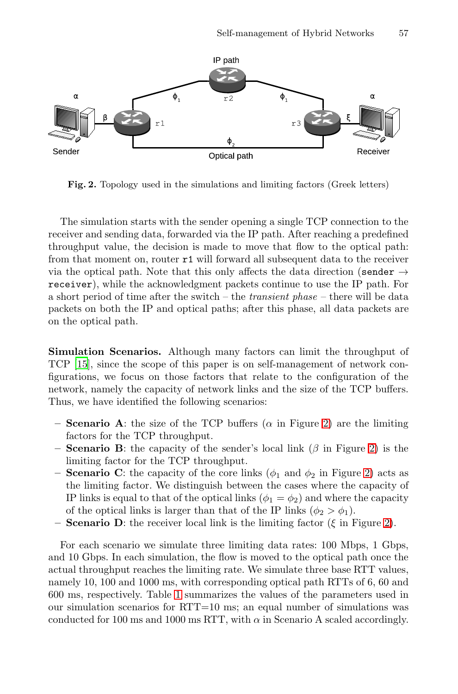<span id="page-3-0"></span>

**Fig. 2.** Topology used in the simulations and limiting factors (Greek letters)

The simulation starts with the sender opening a single TCP connection to the receiver and sending data, forwarded via the IP path. After reaching a predefined throughput value, the decision is made to move that flow to the optical path: from that moment on, router r1 will forward all subsequent data to the receiver via the optical path. Note that this only affects the data direction (sender  $\rightarrow$ receiver), while the acknowledgment packets continue to use the IP path. For a short period of time after the switch – the *transient phase* – there will be data packets on both the IP and optical paths; after this phase, all data packets are on the optical path.

**Simulation Scenarios.** Although many factors c[an](#page-3-0) limit the throughput of TCP [15], since the scope of this paper is on self-management of network configurations, we focus on those factors that relate [to](#page-3-0) the configuration of the network, namely the capacity of network links and the size of the TCP buffers. Thus, we have identified the following scenarios:

- **Scenario A**: the size of the TCP buffers  $(\alpha \text{ in Figure 2})$  $(\alpha \text{ in Figure 2})$  $(\alpha \text{ in Figure 2})$  are the limiting factors for the TCP throughput.
- **Scenario B**: the capacity of the sender's local link  $(\beta$  in Figure 2) is the limiting factor for the TCP throughput.
- **Scenario C**: the capacity of the core links ( $\phi_1$  and  $\phi_2$  in Figure 2) acts as the limiting factor. We distinguish between the cases where the capacity of IP lin[ks](#page-4-1) is equal to that of the optical links ( $\phi_1 = \phi_2$ ) and where the capacity of the optical links is larger than that of the IP links  $(\phi_2 > \phi_1)$ .
- **Scenario D**: the receiver local link is the limiting factor  $(\xi$  in Figure 2).

For each scenario we simulate three limiting data rates: 100 Mbps, 1 Gbps, and 10 Gbps. In each simulation, the flow is moved to the optical path once the actual throughput reaches the limiting rate. We simulate three base RTT values, namely 10, 100 and 1000 ms, with corresponding optical path RTTs of 6, 60 and 600 ms, respectively. Table 1 summarizes the values of the parameters used in our simulation scenarios for RTT=10 ms; an equal number of simulations was conducted for 100 ms and 1000 ms RTT, with  $\alpha$  in Scenario A scaled accordingly.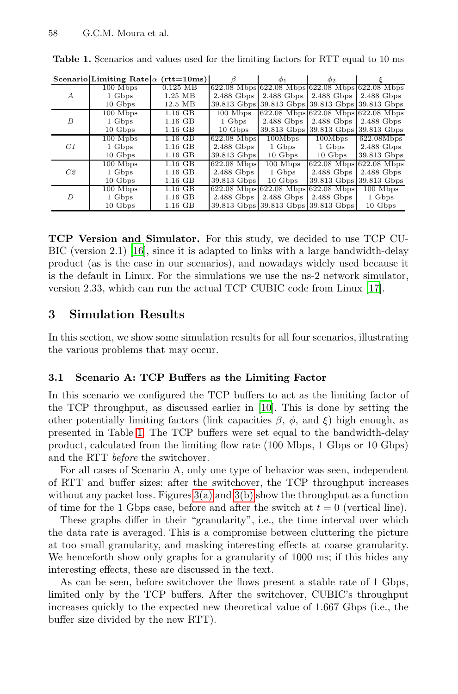#### <span id="page-4-1"></span>58 G.C.M. Moura et al.

<span id="page-4-0"></span>

|                  | Scenario Limiting Rate $\alpha$ (rtt=10ms) |            |              | $\phi_1$   | $\phi_2$                                        |                                                 |
|------------------|--------------------------------------------|------------|--------------|------------|-------------------------------------------------|-------------------------------------------------|
| $\boldsymbol{A}$ | 100 Mbps                                   | $0.125$ MB |              |            |                                                 | 622.08 Mbps 622.08 Mbps 622.08 Mbps 622.08 Mbps |
|                  | 1 Gbps                                     | $1.25$ MB  | 2.488 Gbps   | 2.488 Gbps | $2.488$ Gbps                                    | 2.488 Gbps                                      |
|                  | 10 Gbps                                    | 12.5 MB    |              |            | 39.813 Gbps 39.813 Gbps 39.813 Gbps 39.813 Gbps |                                                 |
| B                | $100$ Mbps                                 | $1.16$ GB  | $100$ Mbps   |            |                                                 | 622.08 Mbps 622.08 Mbps 622.08 Mbps             |
|                  | 1 Gbps                                     | $1.16$ GB  | 1 Gbps       | 2.488 Gbps | 2.488 Gbps                                      | 2.488 Gbps                                      |
|                  | 10 Gbps                                    | $1.16$ GB  | 10 Gbps      |            | 39.813 Gbps 39.813 Gbps 39.813 Gbps             |                                                 |
| C1               | $100$ Mpbs                                 | $1.16$ GB  | 622.08 Mbps  | 100Mbps    | $100M$ bps                                      | $622.08Mb$ ps                                   |
|                  | 1 Gbps                                     | $1.16$ GB  | $2.488$ Gbps | 1 Gbps     | 1 Gbps                                          | 2.488 Gbps                                      |
|                  | 10 Gbps                                    | $1.16$ GB  | 39.813 Gbps  | 10 Gbps    | 10 Gbps                                         | 39.813 Gbps                                     |
| C2               | 100 Mbps                                   | $1.16$ GB  | 622.08 Mbps  | $100$ Mbps |                                                 | 622.08 Mbps 622.08 Mbps                         |
|                  | 1 Gbps                                     | $1.16$ GB  | $2.488$ Gbps | 1 Gbps     | 2.488 Gbps                                      | $2.488$ Gbps                                    |
|                  | 10 Gbps                                    | $1.16$ GB  | 39.813 Gbps  | 10 Gbps    |                                                 | 39.813 Gbps 39.813 Gbps                         |
| D                | $100$ Mbps                                 | $1.16$ GB  |              |            | 622.08 Mbps 622.08 Mbps 622.08 Mbps             | $100$ Mbps                                      |
|                  | 1 Gbps                                     | $1.16$ GB  | $2.488$ Gbps | 2.488 Gbps | $2.488$ Gbps                                    | 1 Gbps                                          |
|                  | 10 Gbps                                    | $1.16$ GB  |              |            | 39.813 Gbps 39.813 Gbps 39.813 Gbps             | 10 Gbps                                         |

**Table 1.** Scenarios and values used for the limiting factors for RTT equal to 10 ms

**TCP Version and Simulator.** For this study, we decided to use TCP CU-BIC (version 2.1) [16], since it is adapted to links with a large bandwidth-delay product (as is the case in our scenarios), and nowadays widely used because it is the default in Linux. For the simulations we use the ns-2 network simulator, version 2.33, which can run the actual TCP CUBIC code from Linux [17].

### **3 Simulation Result[s](#page-11-2)**

I[n t](#page-4-1)his section, we show some simulation results for all four scenarios, illustrating the various problems that may occur.

## **3.1 Scenario A: TCP Buffers as the Limiting Factor**

In this scenar[io we](#page-5-0) co[nfigur](#page-5-1)ed the TCP buffers to act as the limiting factor of the TCP throughput, as discussed earlier in [10]. This is done by setting the other potentially limiting factors (link capacities  $\beta$ ,  $\phi$ , and  $\xi$ ) high enough, as presented in Table 1. The TCP buffers were set equal to the bandwidth-delay product, calculated from the limiting flow rate (100 Mbps, 1 Gbps or 10 Gbps) and the RTT *before* the switchover.

For all cases of Scenario A, only one type of behavior was seen, independent of RTT and buffer sizes: after the switchover, the TCP throughput increases without any packet loss. Figures 3(a) and 3(b) show the throughput as a function of time for the 1 Gbps case, before and after the switch at  $t = 0$  (vertical line).

These graphs differ in their "granularity", i.e., the time interval over which the data rate is averaged. This is a compromise between cluttering the picture at too small granularity, and masking interesting effects at coarse granularity. We henceforth show only graphs for a granularity of 1000 ms; if this hides any interesting effects, these are discussed in the text.

As can be seen, before switchover the flows present a stable rate of 1 Gbps, limited only by the TCP buffers. After the switchover, CUBIC's throughput increases quickly to the expected new theoretical value of 1.667 Gbps (i.e., the buffer size divided by the new RTT).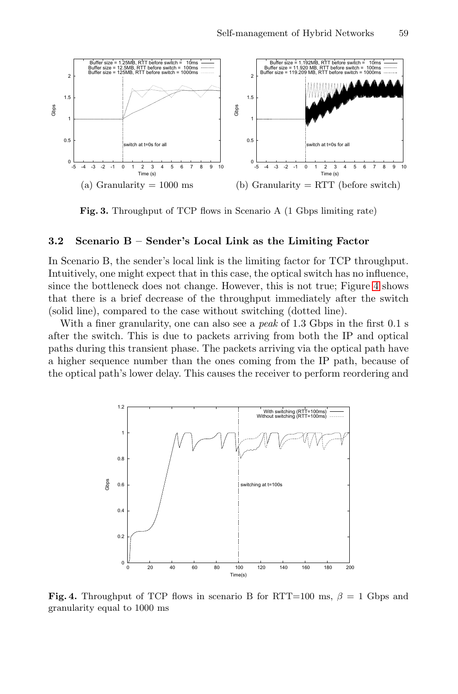<span id="page-5-1"></span><span id="page-5-0"></span>

Fig. 3. Throughput of TCP flows in Scenario A (1 Gbps limiting rate)

#### **3.2 Scenario B – Sender's Local Link as the Limiting Factor**

In Scenario B, the sender's local link is the limiting factor for TCP throughput. Intuitively, one might expect that in this case, the optical switch has no influence, since the bottleneck does not change. However, this is not true; Figure 4 shows that there is a brief decrease of the throughput immediately after the switch (solid line), compared to the case without switching (dotted line).

With a finer granularity, one can also see a *peak* of 1.3 Gbps in the first 0.1 s after the switch. This is due to packets arriving from both the IP and optical paths during this transient phase. The packets arriving via the optical path have a higher sequence number than the ones coming from the IP path, because of the optical path's lower delay. This causes the receiver to perform reordering and

<span id="page-5-2"></span>

**Fig. 4.** Throughput of TCP flows in scenario B for RTT=100 ms,  $\beta = 1$  Gbps and granularity equal to 1000 ms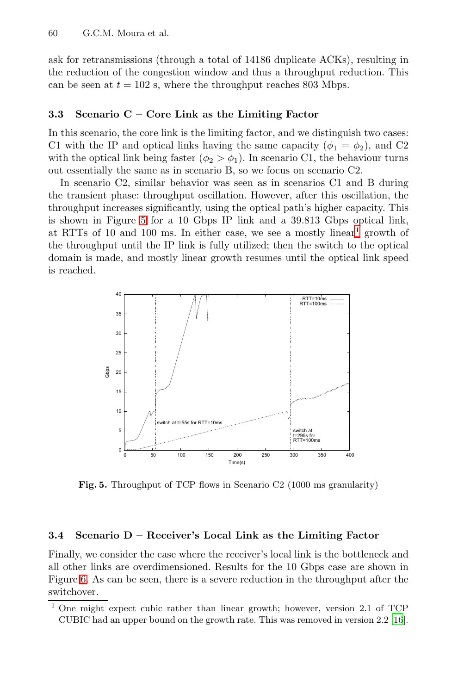#### 60 G.C.M. Moura et al.

ask for retransmissions (through a total of 14186 duplicate ACKs), resulting in the reduction of the congestion window and thus a throughput reduction. This can be seen at  $t = 102$  s, where the throughput reaches 803 Mbps.

#### **3.3 Scenario C – Core Link as the Limiting Factor**

In [th](#page-6-0)is scenario, the core link is the limiting factor[, a](#page-6-1)nd we distinguish two cases: C1 with the IP and optical links having the same capacity ( $\phi_1 = \phi_2$ ), and C2 with the optical link being faster  $(\phi_2 > \phi_1)$ . In scenario C1, the behaviour turns out essentially the same as in scenario B, so we focus on scenario C2.

In scenario C2, similar behavior was seen as in scenarios C1 and B during the transient phase: throughput oscillation. However, after this oscillation, the throughput increases significantly, using the optical path's higher capacity. This is shown in Figure 5 for a 10 Gbps IP link and a 39.813 Gbps optical link, at RTTs of 10 and 100 ms. In either case, we see a mostly linear<sup>1</sup> growth of the throughput until the IP link is fully utilized; then the switch to the optical domain is made, and mostly linear growth resumes until the optical link speed is reached.

<span id="page-6-0"></span>

<span id="page-6-1"></span>**Fig. 5.** Throughput of TCP flows in Scenario C2 (1000 ms granularity)

#### **3.4 Scenario D – Receiver's Local Link as the Limiting Factor**

Finally, we consider the case where the receiver's local link is the bottleneck and all other links are overdimensioned. Results for the 10 Gbps case are shown in Figure 6. As can be seen, there is a severe reduction in the throughput after the switchover.

<sup>1</sup> One might expect cubic rather than linear growth; however, version 2.1 of TCP CUBIC had an upper bound on the growth rate. This was removed in version 2.2 [16].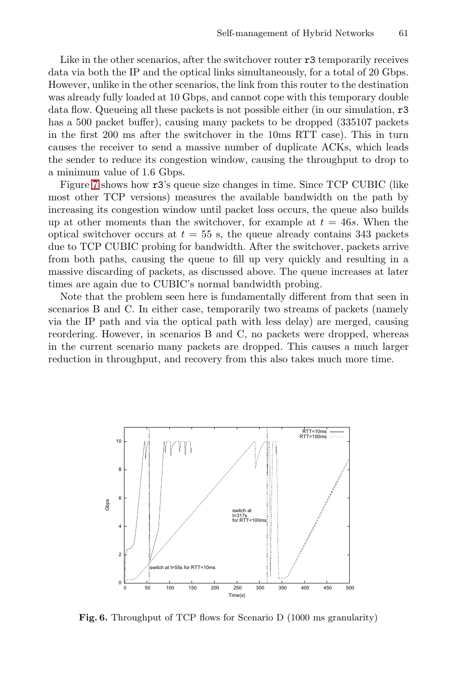Like in the other scenarios, after the switchover router r3 temporarily receives data via both the IP and the optical links simultaneously, for a total of 20 Gbps. However, unlike in the other scenarios, the link from this router to the destination was already fully loaded at 10 Gbps, and cannot cope with this temporary double data flow. Queueing all these packets is not possible either (in our simulation,  $r3$ has a 500 packet buffer), causing many packets to be dropped (335107 packets in the first 200 ms after the switchover in the 10ms RTT case). This in turn causes the receiver to send a massive number of duplicate ACKs, which leads the sender to reduce its congestion window, causing the throughput to drop to a minimum value of 1.6 Gbps.

Figure 7 shows how r3's queue size changes in time. Since TCP CUBIC (like most other TCP versions) measures the available bandwidth on the path by increasing its congestion window until packet loss occurs, the queue also builds up at other moments than the switchover, for example at  $t = 46s$ . When the optical switchover occurs at  $t = 55$  s, the queue already contains 343 packets due to TCP CUBIC probing for bandwidth. After the switchover, packets arrive from both paths, causing the queue to fill up very quickly and resulting in a massive discarding of packets, as discussed above. The queue increases at later times are again due to CUBIC's normal bandwidth probing.

Note that the problem seen here is fundamentally different from that seen in scenarios B and C. In either case, temporarily two streams of packets (namely via the IP path and via the optical path with less delay) are merged, causing reordering. However, in scenarios B and C, no packets were dropped, whereas in the current scenario many packets are dropped. This causes a much larger reduction in throughput, and recovery from this also takes much more time.



**Fig. 6.** Throughput of TCP flows for Scenario D (1000 ms granularity)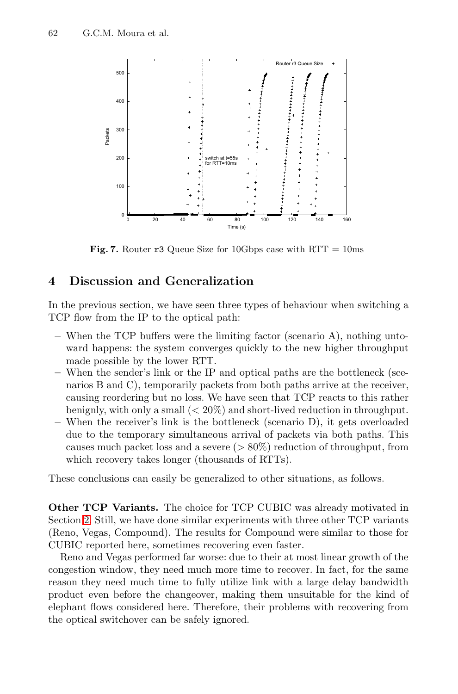<span id="page-8-0"></span>

**Fig. 7.** Router  $r3$  Queue Size for 10Gbps case with  $RTT = 10$ ms

## **4 Discussion and Generalization**

In the previous section, we have seen three types of behaviour when switching a TCP flow from the IP to the optical path:

- **–** When the TCP buffers were the limiting factor (scenario A), nothing untoward happens: the system converges quickly to the new higher throughput made possible by the lower RTT.
- **–** When the sender's link or the IP and optical paths are the bottleneck (scenarios B and C), temporarily packets from both paths arrive at the receiver, causing reordering but no loss. We have seen that TCP reacts to this rather benignly, with only a small  $\langle 20\% \rangle$  and short-lived reduction in throughput.
- **–** When the receiver's link is the bottleneck (scenario D), it gets overloaded due to the temporary simultaneous arrival of packets via both paths. This causes much packet loss and a severe (> 80%) reduction of throughput, from which recovery takes longer (thousands of RTTs).

These conclusions can easily be generalized to other situations, as follows.

**Other TCP Variants.** The choice for TCP CUBIC was already motivated in Section 2. Still, we have done similar experiments with three other TCP variants (Reno, Vegas, Compound). The results for Compound were similar to those for CUBIC reported here, sometimes recovering even faster.

Reno and Vegas performed far worse: due to their at most linear growth of the congestion window, they need much more time to recover. In fact, for the same reason they need much time to fully utilize link with a large delay bandwidth product even before the changeover, making them unsuitable for the kind of elephant flows considered here. Therefore, their problems with recovering from the optical switchover can be safely ignored.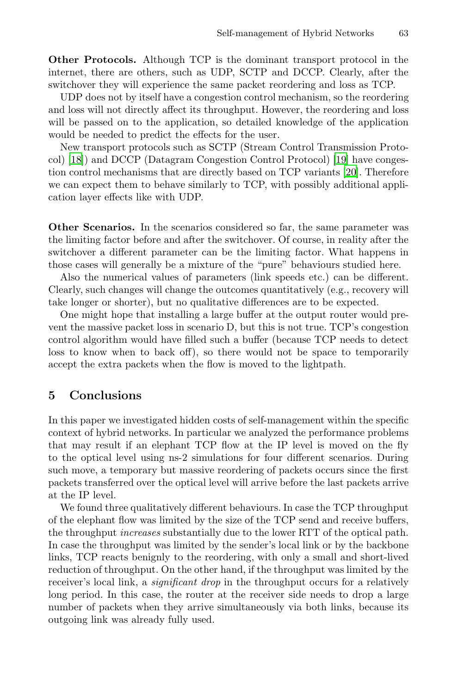**Other Protocols.** Although TCP is the d[om](#page-11-7)inant transport protocol in the internet, there are others, such as UDP, SCT[P a](#page-11-8)nd DCCP. Clearly, after the switchover they will experience the same packet reordering and loss as TCP.

UDP does not by itself have a congestion control mechanism, so the reordering and loss will not directly affect its throughput. However, the reordering and loss will be passed on to the application, so detailed knowledge of the application would be needed to predict the effects for the user.

New transport protocols such as SCTP (Stream Control Transmission Protocol) [18]) and DCCP (Datagram Congestion Control Protocol) [19] have congestion control mechanisms that are directly based on TCP variants [20]. Therefore we can expect them to behave similarly to TCP, with possibly additional application layer effects like with UDP.

**Other Scenarios.** In the scenarios considered so far, the same parameter was the limiting factor before and after the switchover. Of course, in reality after the switchover a different parameter can be the limiting factor. What happens in those cases will generally be a mixture of the "pure" behaviours studied here.

Also the numerical values of parameters (link speeds etc.) can be different. Clearly, such changes will change the outcomes quantitatively (e.g., recovery will take longer or shorter), but no qualitative differences are to be expected.

One might hope that installing a large buffer at the output router would prevent the massive packet loss in scenario D, but this is not true. TCP's congestion control algorithm would have filled such a buffer (because TCP needs to detect loss to know when to back off), so there would not be space to temporarily accept the extra packets when the flow is moved to the lightpath.

## **5 Conclusions**

In this paper we investigated hidden costs of self-management within the specific context of hybrid networks. In particular we analyzed the performance problems that may result if an elephant TCP flow at the IP level is moved on the fly to the optical level using ns-2 simulations for four different scenarios. During such move, a temporary but massive reordering of packets occurs since the first packets transferred over the optical level will arrive before the last packets arrive at the IP level.

We found three qualitatively different behaviours. In case the TCP throughput of the elephant flow was limited by the size of the TCP send and receive buffers, the throughput *increases* substantially due to the lower RTT of the optical path. In case the throughput was limited by the sender's local link or by the backbone links, TCP reacts benignly to the reordering, with only a small and short-lived reduction of throughput. On the other hand, if the throughput was limited by the receiver's local link, a *significant drop* in the throughput occurs for a relatively long period. In this case, the router at the receiver side needs to drop a large number of packets when they arrive simultaneously via both links, because its outgoing link was already fully used.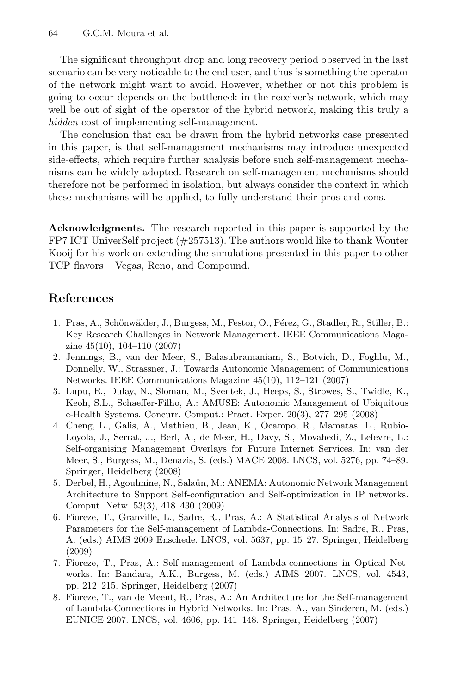The significant throughput drop and long recovery period observed in the last scenario can be very noticable to the end user, and thus is something the operator of the network might want to avoid. However, whether or not this problem is going to occur depends on the bottleneck in the receiver's network, which may well be out of sight of the operator of the hybrid network, making this truly a *hidden* cost of implementing self-management.

The conclusion that can be drawn from the hybrid networks case presented in this paper, is that self-management mechanisms may introduce unexpected side-effects, which require further analysis before such self-management mechanisms can be widely adopted. Research on self-management mechanisms should therefore not be performed in isolation, but always consider the context in which these mechanisms will be applied, to fully understand their pros and cons.

<span id="page-10-0"></span>**Acknowledgments.** The research reported in this paper is supported by the FP7 ICT UniverSelf project (#257513). The authors would like to thank Wouter Kooij for his work on extending the simulations presented in this paper to other TCP flavors – Vegas, Reno, and Compound.

# **References**

- 1. Pras, A., Schönwälder, J., Burgess, M., Festor, O., Pérez, G., Stadler, R., Stiller, B.: Key Research Challenges in Network Management. IEEE Communications Magazine 45(10), 104–110 (2007)
- 2. Jennings, B., van der Meer, S., Balasubramaniam, S., Botvich, D., Foghlu, M., Donnelly, W., Strassner, J.: Towards Autonomic Management of Communications Networks. IEEE Communications Magazine 45(10), 112–121 (2007)
- <span id="page-10-1"></span>3. Lupu, E., Dulay, N., Sloman, M., Sventek, J., Heeps, S., Strowes, S., Twidle, K., Keoh, S.L., Schaeffer-Filho, A.: AMUSE: Autonomic Management of Ubiquitous e-Health Systems. Concurr. Comput.: Pract. Exper. 20(3), 277–295 (2008)
- <span id="page-10-2"></span>4. Cheng, L., Galis, A., Mathieu, B., Jean, K., Ocampo, R., Mamatas, L., Rubio-Loyola, J., Serrat, J., Berl, A., de Meer, H., Davy, S., Movahedi, Z., Lefevre, L.: Self-organising Management Overlays for Future Internet Services. In: van der Meer, S., Burgess, M., Denazis, S. (eds.) MACE 2008. LNCS, vol. 5276, pp. 74–89. Springer, Heidelberg (2008)
- 5. Derbel, H., Agoulmine, N., Salaün, M.: ANEMA: Autonomic Network Management Architecture to Support Self-configuration and Self-optimization in IP networks. Comput. Netw. 53(3), 418–430 (2009)
- <span id="page-10-3"></span>6. Fioreze, T., Granville, L., Sadre, R., Pras, A.: A Statistical Analysis of Network Parameters for the Self-management of Lambda-Connections. In: Sadre, R., Pras, A. (eds.) AIMS 2009 Enschede. LNCS, vol. 5637, pp. 15–27. Springer, Heidelberg (2009)
- 7. Fioreze, T., Pras, A.: Self-management of Lambda-connections in Optical Networks. In: Bandara, A.K., Burgess, M. (eds.) AIMS 2007. LNCS, vol. 4543, pp. 212–215. Springer, Heidelberg (2007)
- 8. Fioreze, T., van de Meent, R., Pras, A.: An Architecture for the Self-management of Lambda-Connections in Hybrid Networks. In: Pras, A., van Sinderen, M. (eds.) EUNICE 2007. LNCS, vol. 4606, pp. 141–148. Springer, Heidelberg (2007)